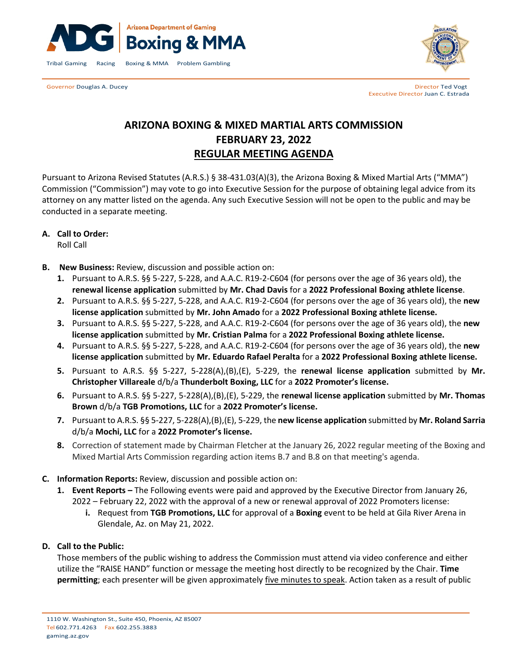



Governor Douglas A. Ducey **Director Ted Vogt Director Ted Vogt Director Ted Vogt** Executive Director Juan C. Estrada

# **ARIZONA BOXING & MIXED MARTIAL ARTS COMMISSION FEBRUARY 23, 2022 REGULAR MEETING AGENDA**

Pursuant to Arizona Revised Statutes (A.R.S.) § 38-431.03(A)(3), the Arizona Boxing & Mixed Martial Arts ("MMA") Commission ("Commission") may vote to go into Executive Session for the purpose of obtaining legal advice from its attorney on any matter listed on the agenda. Any such Executive Session will not be open to the public and may be conducted in a separate meeting.

## **A. Call to Order:**

Roll Call

- **B. New Business:** Review, discussion and possible action on:
	- **1.** Pursuant to A.R.S. §§ 5-227, 5-228, and A.A.C. R19-2-C604 (for persons over the age of 36 years old), the **renewal license application** submitted by **Mr. Chad Davis** for a **2022 Professional Boxing athlete license**.
	- **2.** Pursuant to A.R.S. §§ 5-227, 5-228, and A.A.C. R19-2-C604 (for persons over the age of 36 years old), the **new license application** submitted by **Mr. John Amado** for a **2022 Professional Boxing athlete license.**
	- **3.** Pursuant to A.R.S. §§ 5-227, 5-228, and A.A.C. R19-2-C604 (for persons over the age of 36 years old), the **new license application** submitted by **Mr. Cristian Palma** for a **2022 Professional Boxing athlete license.**
	- **4.** Pursuant to A.R.S. §§ 5-227, 5-228, and A.A.C. R19-2-C604 (for persons over the age of 36 years old), the **new license application** submitted by **Mr. Eduardo Rafael Peralta** for a **2022 Professional Boxing athlete license.**
	- **5.** Pursuant to A.R.S. §§ 5-227, 5-228(A),(B),(E), 5-229, the **renewal license application** submitted by **Mr. Christopher Villareale** d/b/a **Thunderbolt Boxing, LLC** for a **2022 Promoter's license.**
	- **6.** Pursuant to A.R.S. §§ 5-227, 5-228(A),(B),(E), 5-229, the **renewal license application** submitted by **Mr. Thomas Brown** d/b/a **TGB Promotions, LLC** for a **2022 Promoter's license.**
	- **7.** Pursuant to A.R.S. §§ 5-227, 5-228(A),(B),(E), 5-229, the **new license application** submitted by **Mr. Roland Sarria** d/b/a **Mochi, LLC** for a **2022 Promoter's license.**
	- **8.** Correction of statement made by Chairman Fletcher at the January 26, 2022 regular meeting of the Boxing and Mixed Martial Arts Commission regarding action items B.7 and B.8 on that meeting's agenda.
- **C. Information Reports:** Review, discussion and possible action on:
	- **1. Event Reports –** The Following events were paid and approved by the Executive Director from January 26, 2022 – February 22, 2022 with the approval of a new or renewal approval of 2022 Promoters license:
		- **i.** Request from **TGB Promotions, LLC** for approval of a **Boxing** event to be held at Gila River Arena in Glendale, Az. on May 21, 2022.

## **D. Call to the Public:**

Those members of the public wishing to address the Commission must attend via video conference and either utilize the "RAISE HAND" function or message the meeting host directly to be recognized by the Chair. **Time permitting**; each presenter will be given approximately five minutes to speak. Action taken as a result of public